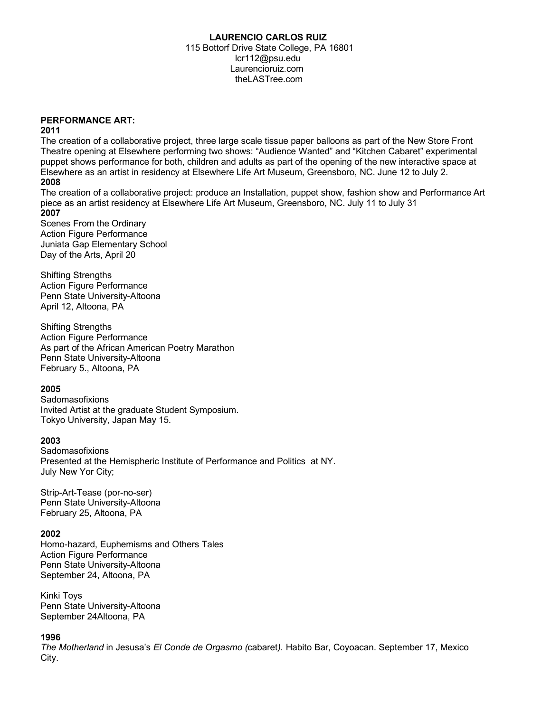### **LAURENCIO CARLOS RUIZ**

 115 Bottorf Drive State College, PA 16801 lcr112@psu.edu Laurencioruiz.com theLASTree.com

### **PERFORMANCE ART:**

#### **2011**

The creation of a collaborative project, three large scale tissue paper balloons as part of the New Store Front Theatre opening at Elsewhere performing two shows: "Audience Wanted" and "Kitchen Cabaret" experimental puppet shows performance for both, children and adults as part of the opening of the new interactive space at Elsewhere as an artist in residency at Elsewhere Life Art Museum, Greensboro, NC. June 12 to July 2.

# **2008**

The creation of a collaborative project: produce an Installation, puppet show, fashion show and Performance Art piece as an artist residency at Elsewhere Life Art Museum, Greensboro, NC. July 11 to July 31 **2007**

Scenes From the Ordinary Action Figure Performance Juniata Gap Elementary School Day of the Arts, April 20

Shifting Strengths Action Figure Performance Penn State University-Altoona April 12, Altoona, PA

Shifting Strengths Action Figure Performance As part of the African American Poetry Marathon Penn State University-Altoona February 5., Altoona, PA

#### **2005**

Sadomasofixions Invited Artist at the graduate Student Symposium. Tokyo University, Japan May 15.

#### **2003**

**Sadomasofixions** Presented at the Hemispheric Institute of Performance and Politics at NY. July New Yor City;

Strip-Art-Tease (por-no-ser) Penn State University-Altoona February 25, Altoona, PA

## **2002**

Homo-hazard, Euphemisms and Others Tales Action Figure Performance Penn State University-Altoona September 24, Altoona, PA

Kinki Toys Penn State University-Altoona September 24Altoona, PA

## **1996**

*The Motherland* in Jesusa's *El Conde de Orgasmo (*cabaret*).* Habito Bar, Coyoacan. September 17, Mexico City.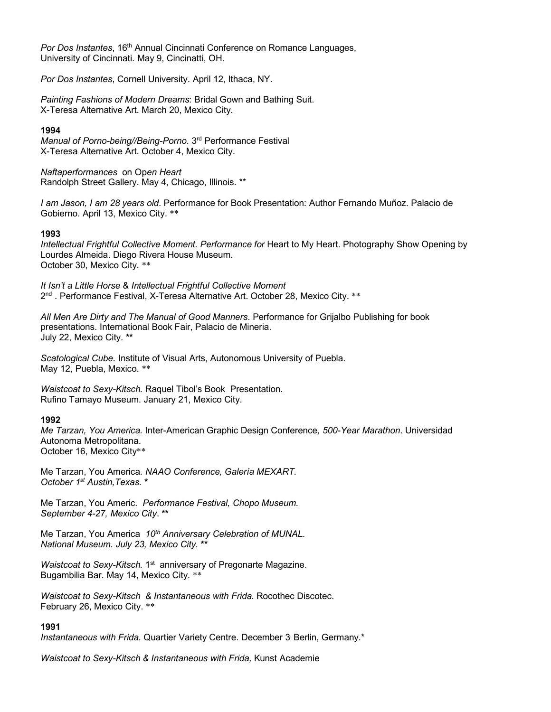*Por Dos Instantes*, 16<sup>th</sup> Annual Cincinnati Conference on Romance Languages, University of Cincinnati. May 9, Cincinatti, OH.

*Por Dos Instantes*, Cornell University. April 12, Ithaca, NY.

*Painting Fashions of Modern Dreams*: Bridal Gown and Bathing Suit. X-Teresa Alternative Art. March 20, Mexico City.

#### **1994**

*Manual of Porno-being//Being-Porno*. 3rd Performance Festival X-Teresa Alternative Art. October 4, Mexico City.

*Naftaperformances* on Op*en Heart* Randolph Street Gallery. May 4, Chicago, Illinois. \*\*

*I am Jason, I am 28 years old*. Performance for Book Presentation: Author Fernando Muñoz. Palacio de Gobierno. April 13, Mexico City. \*\*

#### **1993**

*Intellectual Frightful Collective Moment. Performance for* Heart to My Heart. Photography Show Opening by Lourdes Almeida. Diego Rivera House Museum. October 30, Mexico City. \*\*

*It Isn't a Little Horse* & *Intellectual Frightful Collective Moment* 2<sup>nd</sup> . Performance Festival, X-Teresa Alternative Art. October 28, Mexico City. \*\*

*All Men Are Dirty and The Manual of Good Manners*. Performance for Grijalbo Publishing for book presentations. International Book Fair, Palacio de Mineria. July 22, Mexico City. **\*\***

*Scatological Cube*. Institute of Visual Arts, Autonomous University of Puebla. May 12, Puebla, Mexico. \*\*

*Waistcoat to Sexy-Kitsch.* Raquel Tibol's Book Presentation. Rufino Tamayo Museum. January 21, Mexico City.

#### **1992**

*Me Tarzan, You America.* Inter-American Graphic Design Conference*, 500-Year Marathon*. Universidad Autonoma Metropolitana. October 16, Mexico City\*\*

Me Tarzan, You America*. NAAO Conference, Galería MEXART. October 1st Austin,Texas.* **\***

Me Tarzan, You Americ*. Performance Festival, Chopo Museum. September 4-27, Mexico City*. **\*\***

Me Tarzan, You America 10<sup>th</sup> Anniversary Celebration of MUNAL. *National Museum. July 23, Mexico City.* **\*\***

*Waistcoat to Sexy-Kitsch.* 1<sup>st</sup> anniversary of Pregonarte Magazine. Bugambilia Bar. May 14, Mexico City. \*\*

*Waistcoat to Sexy-Kitsch & Instantaneous with Frida.* Rocothec Discotec. February 26, Mexico City. \*\*

#### **1991**

*Instantaneous with Frida.* Quartier Variety Centre. December 3, Berlin, Germany.\*

*Waistcoat to Sexy-Kitsch & Instantaneous with Frida,* Kunst Academie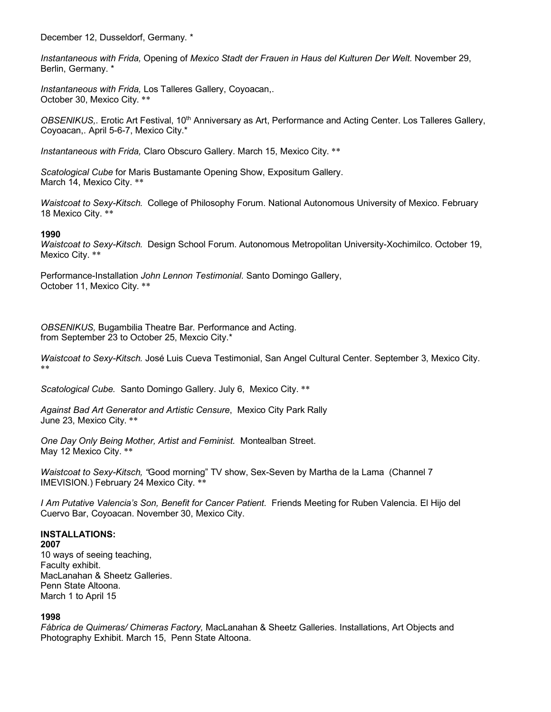December 12, Dusseldorf, Germany. \*

*Instantaneous with Frida,* Opening of *Mexico Stadt der Frauen in Haus del Kulturen Der Welt.* November 29, Berlin, Germany. \*

*Instantaneous with Frida,* Los Talleres Gallery, Coyoacan,. October 30, Mexico City. \*\*

*OBSENIKUS,*. Erotic Art Festival, 10th Anniversary as Art, Performance and Acting Center. Los Talleres Gallery, Coyoacan,. April 5-6-7, Mexico City.\*

*Instantaneous with Frida,* Claro Obscuro Gallery. March 15, Mexico City. \*\*

*Scatological Cube* for Maris Bustamante Opening Show, Expositum Gallery. March 14, Mexico City. \*\*

*Waistcoat to Sexy-Kitsch.* College of Philosophy Forum. National Autonomous University of Mexico. February 18 Mexico City. \*\*

#### **1990**

*Waistcoat to Sexy-Kitsch.* Design School Forum. Autonomous Metropolitan University-Xochimilco. October 19, Mexico City. \*\*

Performance-Installation *John Lennon Testimonial*. Santo Domingo Gallery, October 11, Mexico City. \*\*

*OBSENIKUS,* Bugambilia Theatre Bar. Performance and Acting. from September 23 to October 25, Mexcio City.\*

*Waistcoat to Sexy-Kitsch.* José Luis Cueva Testimonial, San Angel Cultural Center. September 3, Mexico City. \*\*

*Scatological Cube.* Santo Domingo Gallery. July 6, Mexico City. \*\*

*Against Bad Art Generator and Artistic Censure*, Mexico City Park Rally June 23, Mexico City. \*\*

*One Day Only Being Mother, Artist and Feminist.* Montealban Street. May 12 Mexico City. \*\*

*Waistcoat to Sexy-Kitsch, "*Good morning" TV show, Sex-Seven by Martha de la Lama (Channel 7 IMEVISION.) February 24 Mexico City. \*\*

*I Am Putative Valencia's Son, Benefit for Cancer Patient.* Friends Meeting for Ruben Valencia. El Hijo del Cuervo Bar, Coyoacan. November 30, Mexico City.

#### **INSTALLATIONS:**

**2007**

10 ways of seeing teaching, Faculty exhibit. MacLanahan & Sheetz Galleries. Penn State Altoona. March 1 to April 15

#### **1998**

*Fábrica de Quimeras/ Chimeras Factory,* MacLanahan & Sheetz Galleries. Installations, Art Objects and Photography Exhibit. March 15, Penn State Altoona.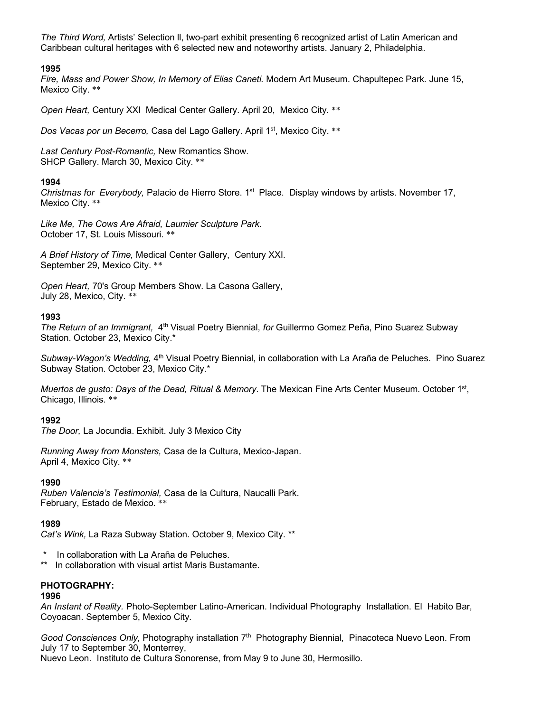*The Third Word,* Artists' Selection ll, two-part exhibit presenting 6 recognized artist of Latin American and Caribbean cultural heritages with 6 selected new and noteworthy artists. January 2, Philadelphia.

### **1995**

*Fire, Mass and Power Show, In Memory of Elias Caneti.* Modern Art Museum. Chapultepec Park. June 15, Mexico City. \*\*

*Open Heart,* Century XXI Medical Center Gallery. April 20, Mexico City. \*\*

*Dos Vacas por un Becerro,* Casa del Lago Gallery. April 1st, Mexico City. \*\*

*Last Century Post-Romantic,* New Romantics Show. SHCP Gallery. March 30, Mexico City. \*\*

#### **1994**

*Christmas for Everybody,* Palacio de Hierro Store. 1st Place. Display windows by artists. November 17, Mexico City. \*\*

*Like Me, The Cows Are Afraid, Laumier Sculpture Park*. October 17, St. Louis Missouri. \*\*

*A Brief History of Time,* Medical Center Gallery, Century XXI. September 29, Mexico City. \*\*

*Open Heart,* 70's Group Members Show. La Casona Gallery, July 28, Mexico, City. \*\*

### **1993**

*The Return of an Immigrant,* 4th Visual Poetry Biennial, *for* Guillermo Gomez Peña, Pino Suarez Subway Station. October 23, Mexico City.\*

*Subway-Wagon's Wedding,* 4th Visual Poetry Biennial, in collaboration with La Araña de Peluches.Pino Suarez Subway Station. October 23, Mexico City.\*

*Muertos de gusto: Days of the Dead, Ritual & Memory.* The Mexican Fine Arts Center Museum. October 1st, Chicago, Illinois. \*\*

#### **1992**

*The Door,* La Jocundia. Exhibit. July 3 Mexico City

*Running Away from Monsters,* Casa de la Cultura, Mexico-Japan. April 4, Mexico City. \*\*

#### **1990**

*Ruben Valencia's Testimonial,* Casa de la Cultura, Naucalli Park. February, Estado de Mexico. \*\*

#### **1989**

*Cat's Wink,* La Raza Subway Station. October 9, Mexico City. \*\*

- \* In collaboration with La Araña de Peluches.
- In collaboration with visual artist Maris Bustamante.

## **PHOTOGRAPHY:**

#### **1996**

*An Instant of Reality.* Photo-September Latino-American. Individual Photography Installation. El Habito Bar, Coyoacan. September 5, Mexico City.

Good Consciences Only, Photography installation 7<sup>th</sup> Photography Biennial, Pinacoteca Nuevo Leon. From July 17 to September 30, Monterrey, Nuevo Leon. Instituto de Cultura Sonorense, from May 9 to June 30, Hermosillo.